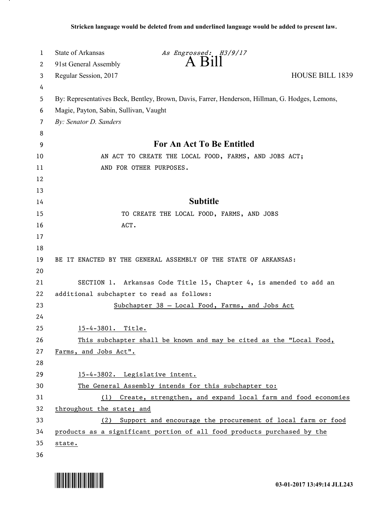| $\overline{A}$ $\overline{B}$ 1<br>91st General Assembly<br>2<br><b>HOUSE BILL 1839</b><br>Regular Session, 2017<br>3<br>4<br>By: Representatives Beck, Bentley, Brown, Davis, Farrer, Henderson, Hillman, G. Hodges, Lemons,<br>5<br>Magie, Payton, Sabin, Sullivan, Vaught<br>6<br>By: Senator D. Sanders<br>7<br>8<br>For An Act To Be Entitled<br>9<br>AN ACT TO CREATE THE LOCAL FOOD, FARMS, AND JOBS ACT;<br>10<br>AND FOR OTHER PURPOSES.<br>11<br>12<br>13<br><b>Subtitle</b><br>14<br>15<br>TO CREATE THE LOCAL FOOD, FARMS, AND JOBS<br>ACT.<br>16<br>17<br>18<br>19<br>BE IT ENACTED BY THE GENERAL ASSEMBLY OF THE STATE OF ARKANSAS:<br>20<br>SECTION 1. Arkansas Code Title 15, Chapter 4, is amended to add an<br>21<br>additional subchapter to read as follows:<br>22<br>23<br>Subchapter 38 - Local Food, Farms, and Jobs Act<br>24<br>25<br>15-4-3801. Title.<br>26<br>This subchapter shall be known and may be cited as the "Local Food,<br>27<br>Farms, and Jobs Act".<br>28 |
|-----------------------------------------------------------------------------------------------------------------------------------------------------------------------------------------------------------------------------------------------------------------------------------------------------------------------------------------------------------------------------------------------------------------------------------------------------------------------------------------------------------------------------------------------------------------------------------------------------------------------------------------------------------------------------------------------------------------------------------------------------------------------------------------------------------------------------------------------------------------------------------------------------------------------------------------------------------------------------------------------------|
|                                                                                                                                                                                                                                                                                                                                                                                                                                                                                                                                                                                                                                                                                                                                                                                                                                                                                                                                                                                                     |
|                                                                                                                                                                                                                                                                                                                                                                                                                                                                                                                                                                                                                                                                                                                                                                                                                                                                                                                                                                                                     |
|                                                                                                                                                                                                                                                                                                                                                                                                                                                                                                                                                                                                                                                                                                                                                                                                                                                                                                                                                                                                     |
|                                                                                                                                                                                                                                                                                                                                                                                                                                                                                                                                                                                                                                                                                                                                                                                                                                                                                                                                                                                                     |
|                                                                                                                                                                                                                                                                                                                                                                                                                                                                                                                                                                                                                                                                                                                                                                                                                                                                                                                                                                                                     |
|                                                                                                                                                                                                                                                                                                                                                                                                                                                                                                                                                                                                                                                                                                                                                                                                                                                                                                                                                                                                     |
|                                                                                                                                                                                                                                                                                                                                                                                                                                                                                                                                                                                                                                                                                                                                                                                                                                                                                                                                                                                                     |
|                                                                                                                                                                                                                                                                                                                                                                                                                                                                                                                                                                                                                                                                                                                                                                                                                                                                                                                                                                                                     |
|                                                                                                                                                                                                                                                                                                                                                                                                                                                                                                                                                                                                                                                                                                                                                                                                                                                                                                                                                                                                     |
|                                                                                                                                                                                                                                                                                                                                                                                                                                                                                                                                                                                                                                                                                                                                                                                                                                                                                                                                                                                                     |
|                                                                                                                                                                                                                                                                                                                                                                                                                                                                                                                                                                                                                                                                                                                                                                                                                                                                                                                                                                                                     |
|                                                                                                                                                                                                                                                                                                                                                                                                                                                                                                                                                                                                                                                                                                                                                                                                                                                                                                                                                                                                     |
|                                                                                                                                                                                                                                                                                                                                                                                                                                                                                                                                                                                                                                                                                                                                                                                                                                                                                                                                                                                                     |
|                                                                                                                                                                                                                                                                                                                                                                                                                                                                                                                                                                                                                                                                                                                                                                                                                                                                                                                                                                                                     |
|                                                                                                                                                                                                                                                                                                                                                                                                                                                                                                                                                                                                                                                                                                                                                                                                                                                                                                                                                                                                     |
|                                                                                                                                                                                                                                                                                                                                                                                                                                                                                                                                                                                                                                                                                                                                                                                                                                                                                                                                                                                                     |
|                                                                                                                                                                                                                                                                                                                                                                                                                                                                                                                                                                                                                                                                                                                                                                                                                                                                                                                                                                                                     |
|                                                                                                                                                                                                                                                                                                                                                                                                                                                                                                                                                                                                                                                                                                                                                                                                                                                                                                                                                                                                     |
|                                                                                                                                                                                                                                                                                                                                                                                                                                                                                                                                                                                                                                                                                                                                                                                                                                                                                                                                                                                                     |
|                                                                                                                                                                                                                                                                                                                                                                                                                                                                                                                                                                                                                                                                                                                                                                                                                                                                                                                                                                                                     |
|                                                                                                                                                                                                                                                                                                                                                                                                                                                                                                                                                                                                                                                                                                                                                                                                                                                                                                                                                                                                     |
|                                                                                                                                                                                                                                                                                                                                                                                                                                                                                                                                                                                                                                                                                                                                                                                                                                                                                                                                                                                                     |
|                                                                                                                                                                                                                                                                                                                                                                                                                                                                                                                                                                                                                                                                                                                                                                                                                                                                                                                                                                                                     |
|                                                                                                                                                                                                                                                                                                                                                                                                                                                                                                                                                                                                                                                                                                                                                                                                                                                                                                                                                                                                     |
|                                                                                                                                                                                                                                                                                                                                                                                                                                                                                                                                                                                                                                                                                                                                                                                                                                                                                                                                                                                                     |
|                                                                                                                                                                                                                                                                                                                                                                                                                                                                                                                                                                                                                                                                                                                                                                                                                                                                                                                                                                                                     |
|                                                                                                                                                                                                                                                                                                                                                                                                                                                                                                                                                                                                                                                                                                                                                                                                                                                                                                                                                                                                     |
| 29<br>15-4-3802. Legislative intent.                                                                                                                                                                                                                                                                                                                                                                                                                                                                                                                                                                                                                                                                                                                                                                                                                                                                                                                                                                |
| The General Assembly intends for this subchapter to:<br>30                                                                                                                                                                                                                                                                                                                                                                                                                                                                                                                                                                                                                                                                                                                                                                                                                                                                                                                                          |
| 31<br>(1) Create, strengthen, and expand local farm and food economies                                                                                                                                                                                                                                                                                                                                                                                                                                                                                                                                                                                                                                                                                                                                                                                                                                                                                                                              |
| 32<br>throughout the state; and                                                                                                                                                                                                                                                                                                                                                                                                                                                                                                                                                                                                                                                                                                                                                                                                                                                                                                                                                                     |
| 33<br>Support and encourage the procurement of local farm or food<br>(2)                                                                                                                                                                                                                                                                                                                                                                                                                                                                                                                                                                                                                                                                                                                                                                                                                                                                                                                            |
| products as a significant portion of all food products purchased by the<br>34                                                                                                                                                                                                                                                                                                                                                                                                                                                                                                                                                                                                                                                                                                                                                                                                                                                                                                                       |
| 35<br>state.<br>36                                                                                                                                                                                                                                                                                                                                                                                                                                                                                                                                                                                                                                                                                                                                                                                                                                                                                                                                                                                  |



.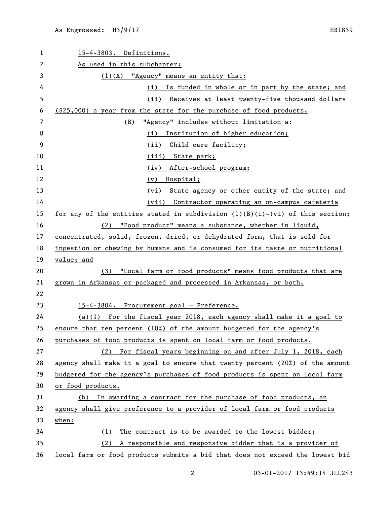| 1  | 15-4-3803. Definitions.                                                         |
|----|---------------------------------------------------------------------------------|
| 2  | As used in this subchapter:                                                     |
| 3  | $(1)$ (A) "Agency" means an entity that:                                        |
| 4  | (i) Is funded in whole or in part by the state; and                             |
| 5  | (ii) Receives at least twenty-five thousand dollars                             |
| 6  | (\$25,000) a year from the state for the purchase of food products.             |
| 7  | "Agency" includes without limitation a:<br>(B)                                  |
| 8  | Institution of higher education;<br>(i)                                         |
| 9  | (ii)<br>Child care facility;                                                    |
| 10 | (iii) State park;                                                               |
| 11 | After-school program;<br>(iv)                                                   |
| 12 | (v) Hospital;                                                                   |
| 13 | (vi) State agency or other entity of the state; and                             |
| 14 | (vii) Contractor operating an on-campus cafeteria                               |
| 15 | for any of the entities stated in subdivision $(l)(B)(i)-(vi)$ of this section; |
| 16 | (2) "Food product" means a substance, whether in liquid,                        |
| 17 | concentrated, solid, frozen, dried, or dehydrated form, that is sold for        |
| 18 | ingestion or chewing by humans and is consumed for its taste or nutritional     |
| 19 | value; and                                                                      |
| 20 | "Local farm or food products" means food products that are<br>(3)               |
| 21 | grown in Arkansas or packaged and processed in Arkansas, or both.               |
| 22 |                                                                                 |
| 23 | 15-4-3804. Procurement goal - Preference.                                       |
| 24 | $(a)(1)$ For the fiscal year 2018, each agency shall make it a goal to          |
| 25 | ensure that ten percent (10%) of the amount budgeted for the agency's           |
| 26 | purchases of food products is spent on local farm or food products.             |
| 27 | (2) For fiscal years beginning on and after July 1, 2018, each                  |
| 28 | agency shall make it a goal to ensure that twenty percent (20%) of the amount   |
| 29 | budgeted for the agency's purchases of food products is spent on local farm     |
| 30 | or food products.                                                               |
| 31 | In awarding a contract for the purchase of food products, an<br>(b)             |
| 32 | agency shall give preference to a provider of local farm or food products       |
| 33 | when:                                                                           |
| 34 | The contract is to be awarded to the lowest bidder;<br>(1)                      |
| 35 | A responsible and responsive bidder that is a provider of<br>(2)                |
| 36 | local farm or food products submits a bid that does not exceed the lowest bid   |

03-01-2017 13:49:14 JLL243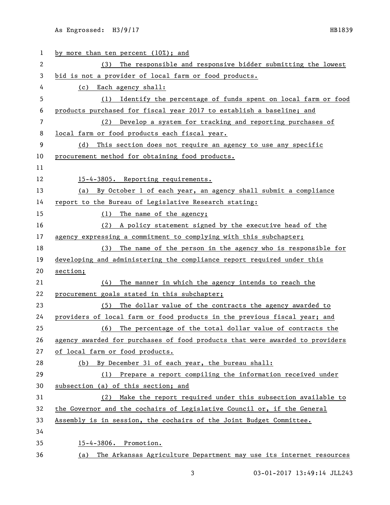As Engrossed: H3/9/17 HB1839

| 1  | by more than ten percent (10%); and                                          |
|----|------------------------------------------------------------------------------|
| 2  | The responsible and responsive bidder submitting the lowest<br>(3)           |
| 3  | bid is not a provider of local farm or food products.                        |
| 4  | (c) Each agency shall:                                                       |
| 5  | Identify the percentage of funds spent on local farm or food<br>(1)          |
| 6  | products purchased for fiscal year 2017 to establish a baseline; and         |
| 7  | (2) Develop a system for tracking and reporting purchases of                 |
| 8  | local farm or food products each fiscal year.                                |
| 9  | This section does not require an agency to use any specific<br>(d)           |
| 10 | procurement method for obtaining food products.                              |
| 11 |                                                                              |
| 12 | 15-4-3805. Reporting requirements.                                           |
| 13 | (a) By October 1 of each year, an agency shall submit a compliance           |
| 14 | report to the Bureau of Legislative Research stating:                        |
| 15 | (1) The name of the agency;                                                  |
| 16 | (2) A policy statement signed by the executive head of the                   |
| 17 | agency expressing a commitment to complying with this subchapter;            |
| 18 | The name of the person in the agency who is responsible for<br>(3)           |
| 19 | developing and administering the compliance report required under this       |
| 20 | section;                                                                     |
| 21 | The manner in which the agency intends to reach the<br>(4)                   |
| 22 | procurement goals stated in this subchapter;                                 |
| 23 | (5) The dollar value of the contracts the agency awarded to                  |
| 24 | providers of local farm or food products in the previous fiscal year; and    |
| 25 | (6) The percentage of the total dollar value of contracts the                |
| 26 | agency awarded for purchases of food products that were awarded to providers |
| 27 | of local farm or food products.                                              |
| 28 | (b) By December 31 of each year, the bureau shall:                           |
| 29 | (1) Prepare a report compiling the information received under                |
| 30 | subsection (a) of this section; and                                          |
| 31 | Make the report required under this subsection available to<br>(2)           |
| 32 | the Governor and the cochairs of Legislative Council or, if the General      |
| 33 | Assembly is in session, the cochairs of the Joint Budget Committee.          |
| 34 |                                                                              |
| 35 | 15-4-3806. Promotion.                                                        |
| 36 | (a) The Arkansas Agriculture Department may use its internet resources       |

3 03-01-2017 13:49:14 JLL243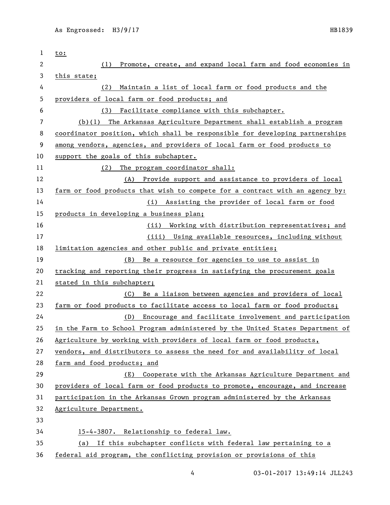| 1  | to:                                                                           |
|----|-------------------------------------------------------------------------------|
| 2  | Promote, create, and expand local farm and food economies in<br>(1)           |
| 3  | this state;                                                                   |
| 4  | Maintain a list of local farm or food products and the<br>(2)                 |
| 5  | providers of local farm or food products; and                                 |
| 6  | Facilitate compliance with this subchapter.<br>(3)                            |
| 7  | (b)(1) The Arkansas Agriculture Department shall establish a program          |
| 8  | coordinator position, which shall be responsible for developing partnerships  |
| 9  | among vendors, agencies, and providers of local farm or food products to      |
| 10 | support the goals of this subchapter.                                         |
| 11 | The program coordinator shall:<br>(2)                                         |
| 12 | Provide support and assistance to providers of local<br>(A)                   |
| 13 | farm or food products that wish to compete for a contract with an agency by:  |
| 14 | Assisting the provider of local farm or food<br>(i)                           |
| 15 | products in developing a business plan;                                       |
| 16 | Working with distribution representatives; and<br>(ii)                        |
| 17 | (iii) Using available resources, including without                            |
| 18 | limitation agencies and other public and private entities;                    |
| 19 | Be a resource for agencies to use to assist in<br>(B)                         |
| 20 | tracking and reporting their progress in satisfying the procurement goals     |
| 21 | stated in this subchapter;                                                    |
| 22 | Be a liaison between agencies and providers of local<br>(C)                   |
| 23 | farm or food products to facilitate access to local farm or food products;    |
| 24 | Encourage and facilitate involvement and participation<br>(D)                 |
| 25 | in the Farm to School Program administered by the United States Department of |
| 26 | Agriculture by working with providers of local farm or food products,         |
| 27 | vendors, and distributors to assess the need for and availability of local    |
| 28 | farm and food products; and                                                   |
| 29 | Cooperate with the Arkansas Agriculture Department and<br>(E)                 |
| 30 | providers of local farm or food products to promote, encourage, and increase  |
| 31 | participation in the Arkansas Grown program administered by the Arkansas      |
| 32 | Agriculture Department.                                                       |
| 33 |                                                                               |
| 34 | 15-4-3807. Relationship to federal law.                                       |
| 35 | If this subchapter conflicts with federal law pertaining to a<br>(a)          |
| 36 | federal aid program, the conflicting provision or provisions of this          |

4 03-01-2017 13:49:14 JLL243